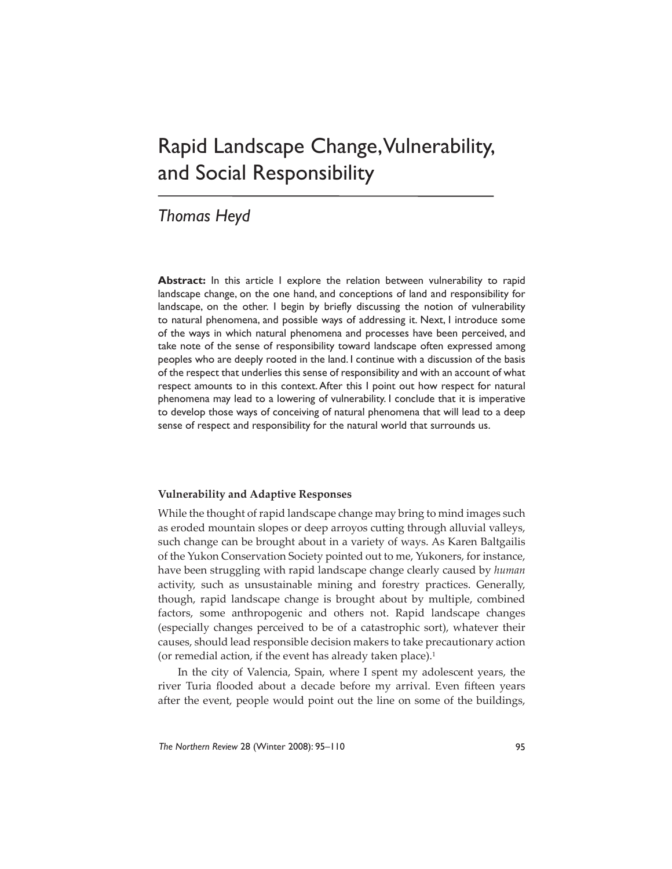# Rapid Landscape Change, Vulnerability, and Social Responsibility

# *Thomas Heyd*

**Abstract:** In this article I explore the relation between vulnerability to rapid landscape change, on the one hand, and conceptions of land and responsibility for landscape, on the other. I begin by briefly discussing the notion of vulnerability to natural phenomena, and possible ways of addressing it. Next, I introduce some of the ways in which natural phenomena and processes have been perceived, and take note of the sense of responsibility toward landscape often expressed among peoples who are deeply rooted in the land. I continue with a discussion of the basis of the respect that underlies this sense of responsibility and with an account of what respect amounts to in this context. After this I point out how respect for natural phenomena may lead to a lowering of vulnerability. I conclude that it is imperative to develop those ways of conceiving of natural phenomena that will lead to a deep sense of respect and responsibility for the natural world that surrounds us.

# **Vulnerability and Adaptive Responses**

While the thought of rapid landscape change may bring to mind images such as eroded mountain slopes or deep arroyos cutting through alluvial valleys, such change can be brought about in a variety of ways. As Karen Baltgailis of the Yukon Conservation Society pointed out to me, Yukoners, for instance, have been struggling with rapid landscape change clearly caused by *human* activity, such as unsustainable mining and forestry practices. Generally, though, rapid landscape change is brought about by multiple, combined factors, some anthropogenic and others not. Rapid landscape changes (especially changes perceived to be of a catastrophic sort), whatever their causes, should lead responsible decision makers to take precautionary action (or remedial action, if the event has already taken place). $1$ 

In the city of Valencia, Spain, where I spent my adolescent years, the river Turia flooded about a decade before my arrival. Even fifteen years after the event, people would point out the line on some of the buildings,

*The Northern Review* 28 (Winter 2008): 95–110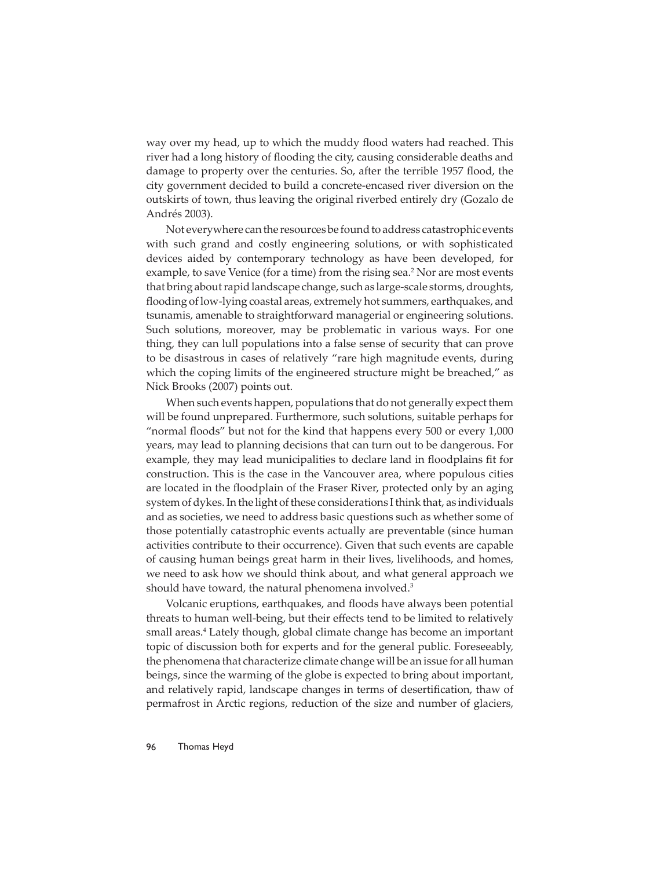way over my head, up to which the muddy flood waters had reached. This river had a long history of flooding the city, causing considerable deaths and damage to property over the centuries. So, after the terrible 1957 flood, the city government decided to build a concrete-encased river diversion on the outskirts of town, thus leaving the original riverbed entirely dry (Gozalo de Andrés 2003).

Not everywhere can the resources be found to address catastrophic events with such grand and costly engineering solutions, or with sophisticated devices aided by contemporary technology as have been developed, for example, to save Venice (for a time) from the rising sea.<sup>2</sup> Nor are most events that bring about rapid landscape change, such as large-scale storms, droughts, flooding of low-lying coastal areas, extremely hot summers, earthquakes, and tsunamis, amenable to straightforward managerial or engineering solutions. Such solutions, moreover, may be problematic in various ways. For one thing, they can lull populations into a false sense of security that can prove to be disastrous in cases of relatively "rare high magnitude events, during which the coping limits of the engineered structure might be breached," as Nick Brooks (2007) points out.

When such events happen, populations that do not generally expect them will be found unprepared. Furthermore, such solutions, suitable perhaps for "normal floods" but not for the kind that happens every 500 or every 1,000 years, may lead to planning decisions that can turn out to be dangerous. For example, they may lead municipalities to declare land in floodplains fit for construction. This is the case in the Vancouver area, where populous cities are located in the floodplain of the Fraser River, protected only by an aging system of dykes. In the light of these considerations I think that, as individuals and as societies, we need to address basic questions such as whether some of those potentially catastrophic events actually are preventable (since human activities contribute to their occurrence). Given that such events are capable of causing human beings great harm in their lives, livelihoods, and homes, we need to ask how we should think about, and what general approach we should have toward, the natural phenomena involved.<sup>3</sup>

Volcanic eruptions, earthquakes, and floods have always been potential threats to human well-being, but their effects tend to be limited to relatively small areas.4 Lately though, global climate change has become an important topic of discussion both for experts and for the general public. Foreseeably, the phenomena that characterize climate change will be an issue for all human beings, since the warming of the globe is expected to bring about important, and relatively rapid, landscape changes in terms of desertification, thaw of permafrost in Arctic regions, reduction of the size and number of glaciers,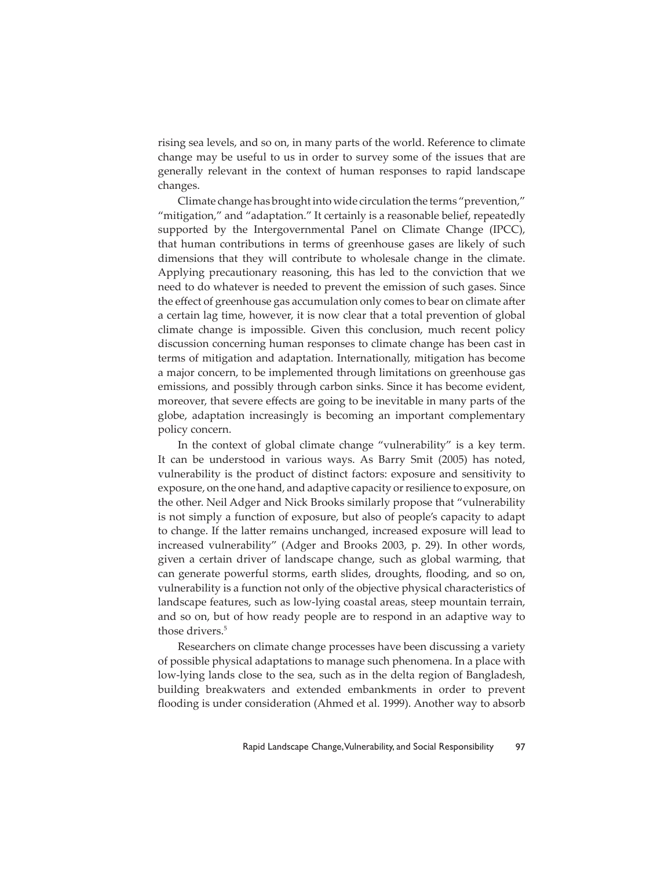rising sea levels, and so on, in many parts of the world. Reference to climate change may be useful to us in order to survey some of the issues that are generally relevant in the context of human responses to rapid landscape changes.

Climate change has brought into wide circulation the terms "prevention," "mitigation," and "adaptation." It certainly is a reasonable belief, repeatedly supported by the Intergovernmental Panel on Climate Change (IPCC), that human contributions in terms of greenhouse gases are likely of such dimensions that they will contribute to wholesale change in the climate. Applying precautionary reasoning, this has led to the conviction that we need to do whatever is needed to prevent the emission of such gases. Since the effect of greenhouse gas accumulation only comes to bear on climate after a certain lag time, however, it is now clear that a total prevention of global climate change is impossible. Given this conclusion, much recent policy discussion concerning human responses to climate change has been cast in terms of mitigation and adaptation. Internationally, mitigation has become a major concern, to be implemented through limitations on greenhouse gas emissions, and possibly through carbon sinks. Since it has become evident, moreover, that severe effects are going to be inevitable in many parts of the globe, adaptation increasingly is becoming an important complementary policy concern.

In the context of global climate change "vulnerability" is a key term. It can be understood in various ways. As Barry Smit (2005) has noted, vulnerability is the product of distinct factors: exposure and sensitivity to exposure, on the one hand, and adaptive capacity or resilience to exposure, on the other. Neil Adger and Nick Brooks similarly propose that "vulnerability is not simply a function of exposure, but also of people's capacity to adapt to change. If the latter remains unchanged, increased exposure will lead to increased vulnerability" (Adger and Brooks 2003, p. 29). In other words, given a certain driver of landscape change, such as global warming, that can generate powerful storms, earth slides, droughts, flooding, and so on, vulnerability is a function not only of the objective physical characteristics of landscape features, such as low-lying coastal areas, steep mountain terrain, and so on, but of how ready people are to respond in an adaptive way to those drivers.<sup>5</sup>

Researchers on climate change processes have been discussing a variety of possible physical adaptations to manage such phenomena. In a place with low-lying lands close to the sea, such as in the delta region of Bangladesh, building breakwaters and extended embankments in order to prevent flooding is under consideration (Ahmed et al. 1999). Another way to absorb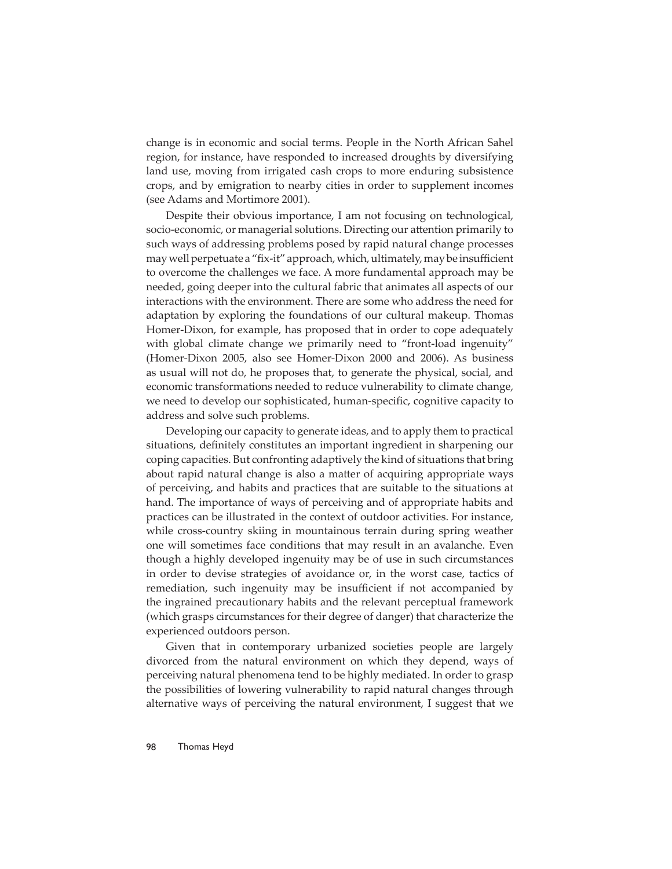change is in economic and social terms. People in the North African Sahel region, for instance, have responded to increased droughts by diversifying land use, moving from irrigated cash crops to more enduring subsistence crops, and by emigration to nearby cities in order to supplement incomes (see Adams and Mortimore 2001).

Despite their obvious importance, I am not focusing on technological, socio-economic, or managerial solutions. Directing our attention primarily to such ways of addressing problems posed by rapid natural change processes may well perpetuate a "fix-it" approach, which, ultimately, may be insufficient to overcome the challenges we face. A more fundamental approach may be needed, going deeper into the cultural fabric that animates all aspects of our interactions with the environment. There are some who address the need for adaptation by exploring the foundations of our cultural makeup. Thomas Homer-Dixon, for example, has proposed that in order to cope adequately with global climate change we primarily need to "front-load ingenuity" (Homer-Dixon 2005, also see Homer-Dixon 2000 and 2006). As business as usual will not do, he proposes that, to generate the physical, social, and economic transformations needed to reduce vulnerability to climate change, we need to develop our sophisticated, human-specific, cognitive capacity to address and solve such problems.

Developing our capacity to generate ideas, and to apply them to practical situations, definitely constitutes an important ingredient in sharpening our coping capacities. But confronting adaptively the kind of situations that bring about rapid natural change is also a matter of acquiring appropriate ways of perceiving, and habits and practices that are suitable to the situations at hand. The importance of ways of perceiving and of appropriate habits and practices can be illustrated in the context of outdoor activities. For instance, while cross-country skiing in mountainous terrain during spring weather one will sometimes face conditions that may result in an avalanche. Even though a highly developed ingenuity may be of use in such circumstances in order to devise strategies of avoidance or, in the worst case, tactics of remediation, such ingenuity may be insufficient if not accompanied by the ingrained precautionary habits and the relevant perceptual framework (which grasps circumstances for their degree of danger) that characterize the experienced outdoors person.

Given that in contemporary urbanized societies people are largely divorced from the natural environment on which they depend, ways of perceiving natural phenomena tend to be highly mediated. In order to grasp the possibilities of lowering vulnerability to rapid natural changes through alternative ways of perceiving the natural environment, I suggest that we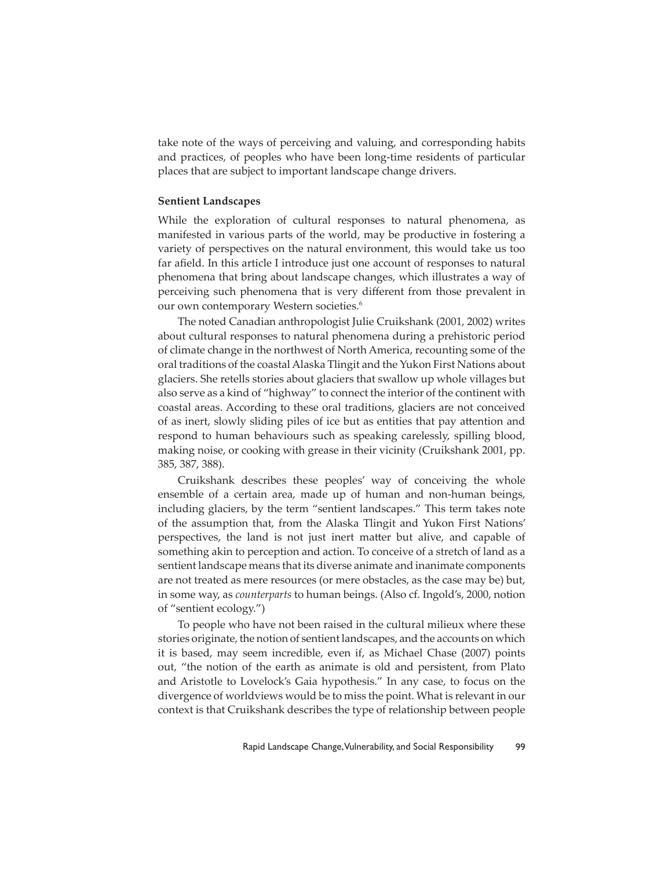take note of the ways of perceiving and valuing, and corresponding habits and practices, of peoples who have been long-time residents of particular places that are subject to important landscape change drivers.

#### **Sentient Landscapes**

While the exploration of cultural responses to natural phenomena, as manifested in various parts of the world, may be productive in fostering a variety of perspectives on the natural environment, this would take us too far afield. In this article I introduce just one account of responses to natural phenomena that bring about landscape changes, which illustrates a way of perceiving such phenomena that is very different from those prevalent in our own contemporary Western societies.<sup>6</sup>

The noted Canadian anthropologist Julie Cruikshank (2001, 2002) writes about cultural responses to natural phenomena during a prehistoric period of climate change in the northwest of North America, recounting some of the oral traditions of the coastal Alaska Tlingit and the Yukon First Nations about glaciers. She retells stories about glaciers that swallow up whole villages but also serve as a kind of "highway" to connect the interior of the continent with coastal areas. According to these oral traditions, glaciers are not conceived of as inert, slowly sliding piles of ice but as entities that pay attention and respond to human behaviours such as speaking carelessly, spilling blood, making noise, or cooking with grease in their vicinity (Cruikshank 2001, pp. 385, 387, 388).

Cruikshank describes these peoples' way of conceiving the whole ensemble of a certain area, made up of human and non-human beings, including glaciers, by the term "sentient landscapes." This term takes note of the assumption that, from the Alaska Tlingit and Yukon First Nations' perspectives, the land is not just inert matter but alive, and capable of something akin to perception and action. To conceive of a stretch of land as a sentient landscape means that its diverse animate and inanimate components are not treated as mere resources (or mere obstacles, as the case may be) but, in some way, as *counterparts* to human beings. (Also cf. Ingold's, 2000, notion of "sentient ecology.")

To people who have not been raised in the cultural milieux where these stories originate, the notion of sentient landscapes, and the accounts on which it is based, may seem incredible, even if, as Michael Chase (2007) points out, "the notion of the earth as animate is old and persistent, from Plato and Aristotle to Lovelock's Gaia hypothesis." In any case, to focus on the divergence of worldviews would be to miss the point. What is relevant in our context is that Cruikshank describes the type of relationship between people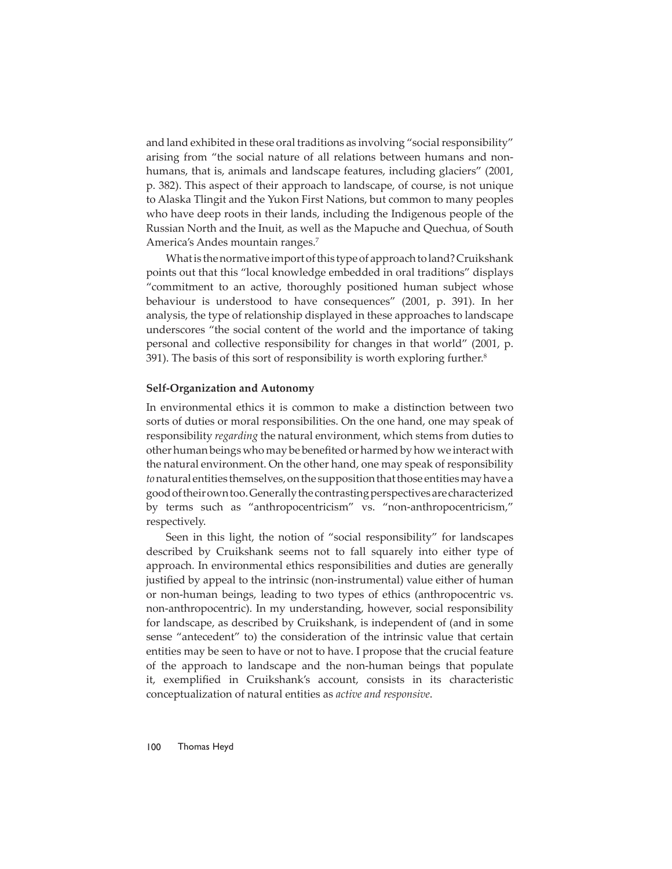and land exhibited in these oral traditions as involving "social responsibility" arising from "the social nature of all relations between humans and nonhumans, that is, animals and landscape features, including glaciers" (2001, p. 382). This aspect of their approach to landscape, of course, is not unique to Alaska Tlingit and the Yukon First Nations, but common to many peoples who have deep roots in their lands, including the Indigenous people of the Russian North and the Inuit, as well as the Mapuche and Quechua, of South America's Andes mountain ranges.7

What is the normative import of this type of approach to land? Cruikshank points out that this "local knowledge embedded in oral traditions" displays "commitment to an active, thoroughly positioned human subject whose behaviour is understood to have consequences" (2001, p. 391). In her analysis, the type of relationship displayed in these approaches to landscape underscores "the social content of the world and the importance of taking personal and collective responsibility for changes in that world" (2001, p. 391). The basis of this sort of responsibility is worth exploring further.<sup>8</sup>

#### **Self-Organization and Autonomy**

In environmental ethics it is common to make a distinction between two sorts of duties or moral responsibilities. On the one hand, one may speak of responsibility *regarding* the natural environment, which stems from duties to other human beings who may be benefi ted or harmed by how we interact with the natural environment. On the other hand, one may speak of responsibility *to* natural entities themselves, on the supposition that those entities may have a good of their own too. Generally the contrasting perspectives are characterized by terms such as "anthropocentricism" vs. "non-anthropocentricism," respectively.

Seen in this light, the notion of "social responsibility" for landscapes described by Cruikshank seems not to fall squarely into either type of approach. In environmental ethics responsibilities and duties are generally justified by appeal to the intrinsic (non-instrumental) value either of human or non-human beings, leading to two types of ethics (anthropocentric vs. non-anthropocentric). In my understanding, however, social responsibility for landscape, as described by Cruikshank, is independent of (and in some sense "antecedent" to) the consideration of the intrinsic value that certain entities may be seen to have or not to have. I propose that the crucial feature of the approach to landscape and the non-human beings that populate it, exemplified in Cruikshank's account, consists in its characteristic conceptualization of natural entities as *active and responsive*.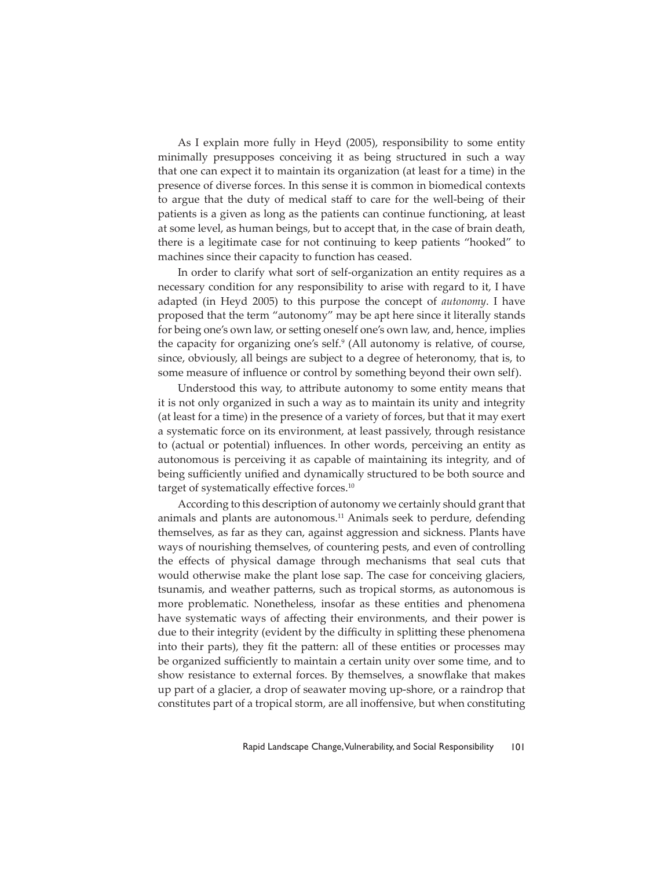As I explain more fully in Heyd (2005), responsibility to some entity minimally presupposes conceiving it as being structured in such a way that one can expect it to maintain its organization (at least for a time) in the presence of diverse forces. In this sense it is common in biomedical contexts to argue that the duty of medical staff to care for the well-being of their patients is a given as long as the patients can continue functioning, at least at some level, as human beings, but to accept that, in the case of brain death, there is a legitimate case for not continuing to keep patients "hooked" to machines since their capacity to function has ceased.

In order to clarify what sort of self-organization an entity requires as a necessary condition for any responsibility to arise with regard to it, I have adapted (in Heyd 2005) to this purpose the concept of *autonomy*. I have proposed that the term "autonomy" may be apt here since it literally stands for being one's own law, or setting oneself one's own law, and, hence, implies the capacity for organizing one's self.<sup>9</sup> (All autonomy is relative, of course, since, obviously, all beings are subject to a degree of heteronomy, that is, to some measure of influence or control by something beyond their own self).

Understood this way, to attribute autonomy to some entity means that it is not only organized in such a way as to maintain its unity and integrity (at least for a time) in the presence of a variety of forces, but that it may exert a systematic force on its environment, at least passively, through resistance to (actual or potential) influences. In other words, perceiving an entity as autonomous is perceiving it as capable of maintaining its integrity, and of being sufficiently unified and dynamically structured to be both source and target of systematically effective forces.<sup>10</sup>

According to this description of autonomy we certainly should grant that animals and plants are autonomous.<sup>11</sup> Animals seek to perdure, defending themselves, as far as they can, against aggression and sickness. Plants have ways of nourishing themselves, of countering pests, and even of controlling the effects of physical damage through mechanisms that seal cuts that would otherwise make the plant lose sap. The case for conceiving glaciers, tsunamis, and weather patterns, such as tropical storms, as autonomous is more problematic. Nonetheless, insofar as these entities and phenomena have systematic ways of affecting their environments, and their power is due to their integrity (evident by the difficulty in splitting these phenomena into their parts), they fit the pattern: all of these entities or processes may be organized sufficiently to maintain a certain unity over some time, and to show resistance to external forces. By themselves, a snowflake that makes up part of a glacier, a drop of seawater moving up-shore, or a raindrop that constitutes part of a tropical storm, are all inoffensive, but when constituting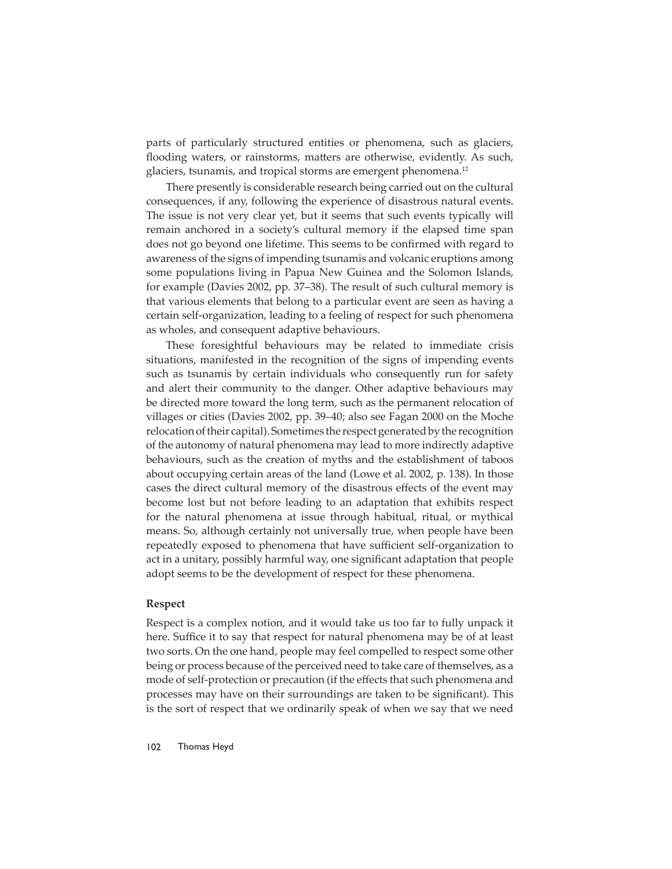parts of particularly structured entities or phenomena, such as glaciers, flooding waters, or rainstorms, matters are otherwise, evidently. As such, glaciers, tsunamis, and tropical storms are emergent phenomena.<sup>12</sup>

There presently is considerable research being carried out on the cultural consequences, if any, following the experience of disastrous natural events. The issue is not very clear yet, but it seems that such events typically will remain anchored in a society's cultural memory if the elapsed time span does not go beyond one lifetime. This seems to be confirmed with regard to awareness of the signs of impending tsunamis and volcanic eruptions among some populations living in Papua New Guinea and the Solomon Islands, for example (Davies 2002, pp. 37–38). The result of such cultural memory is that various elements that belong to a particular event are seen as having a certain self-organization, leading to a feeling of respect for such phenomena as wholes, and consequent adaptive behaviours.

These foresightful behaviours may be related to immediate crisis situations, manifested in the recognition of the signs of impending events such as tsunamis by certain individuals who consequently run for safety and alert their community to the danger. Other adaptive behaviours may be directed more toward the long term, such as the permanent relocation of villages or cities (Davies 2002, pp. 39–40; also see Fagan 2000 on the Moche relocation of their capital). Sometimes the respect generated by the recognition of the autonomy of natural phenomena may lead to more indirectly adaptive behaviours, such as the creation of myths and the establishment of taboos about occupying certain areas of the land (Lowe et al. 2002, p. 138). In those cases the direct cultural memory of the disastrous effects of the event may become lost but not before leading to an adaptation that exhibits respect for the natural phenomena at issue through habitual, ritual, or mythical means. So, although certainly not universally true, when people have been repeatedly exposed to phenomena that have sufficient self-organization to act in a unitary, possibly harmful way, one significant adaptation that people adopt seems to be the development of respect for these phenomena.

#### **Respect**

Respect is a complex notion, and it would take us too far to fully unpack it here. Suffice it to say that respect for natural phenomena may be of at least two sorts. On the one hand, people may feel compelled to respect some other being or process because of the perceived need to take care of themselves, as a mode of self-protection or precaution (if the effects that such phenomena and processes may have on their surroundings are taken to be significant). This is the sort of respect that we ordinarily speak of when we say that we need

102 Thomas Heyd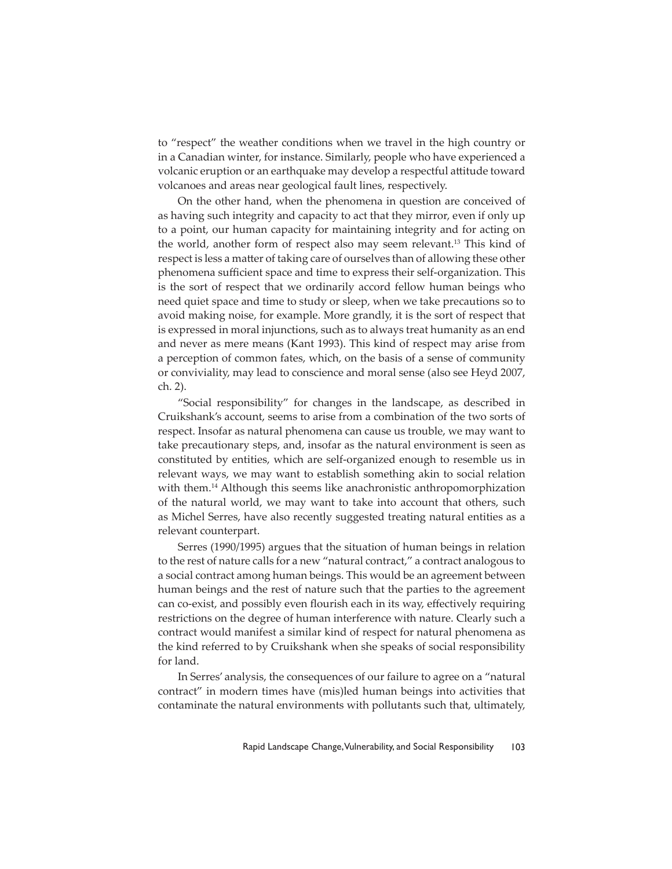to "respect" the weather conditions when we travel in the high country or in a Canadian winter, for instance. Similarly, people who have experienced a volcanic eruption or an earthquake may develop a respectful attitude toward volcanoes and areas near geological fault lines, respectively.

On the other hand, when the phenomena in question are conceived of as having such integrity and capacity to act that they mirror, even if only up to a point, our human capacity for maintaining integrity and for acting on the world, another form of respect also may seem relevant.13 This kind of respect is less a matter of taking care of ourselves than of allowing these other phenomena sufficient space and time to express their self-organization. This is the sort of respect that we ordinarily accord fellow human beings who need quiet space and time to study or sleep, when we take precautions so to avoid making noise, for example. More grandly, it is the sort of respect that is expressed in moral injunctions, such as to always treat humanity as an end and never as mere means (Kant 1993). This kind of respect may arise from a perception of common fates, which, on the basis of a sense of community or conviviality, may lead to conscience and moral sense (also see Heyd 2007, ch. 2).

"Social responsibility" for changes in the landscape, as described in Cruikshank's account, seems to arise from a combination of the two sorts of respect. Insofar as natural phenomena can cause us trouble, we may want to take precautionary steps, and, insofar as the natural environment is seen as constituted by entities, which are self-organized enough to resemble us in relevant ways, we may want to establish something akin to social relation with them.<sup>14</sup> Although this seems like anachronistic anthropomorphization of the natural world, we may want to take into account that others, such as Michel Serres, have also recently suggested treating natural entities as a relevant counterpart.

Serres (1990/1995) argues that the situation of human beings in relation to the rest of nature calls for a new "natural contract," a contract analogous to a social contract among human beings. This would be an agreement between human beings and the rest of nature such that the parties to the agreement can co-exist, and possibly even flourish each in its way, effectively requiring restrictions on the degree of human interference with nature. Clearly such a contract would manifest a similar kind of respect for natural phenomena as the kind referred to by Cruikshank when she speaks of social responsibility for land.

In Serres' analysis, the consequences of our failure to agree on a "natural contract" in modern times have (mis)led human beings into activities that contaminate the natural environments with pollutants such that, ultimately,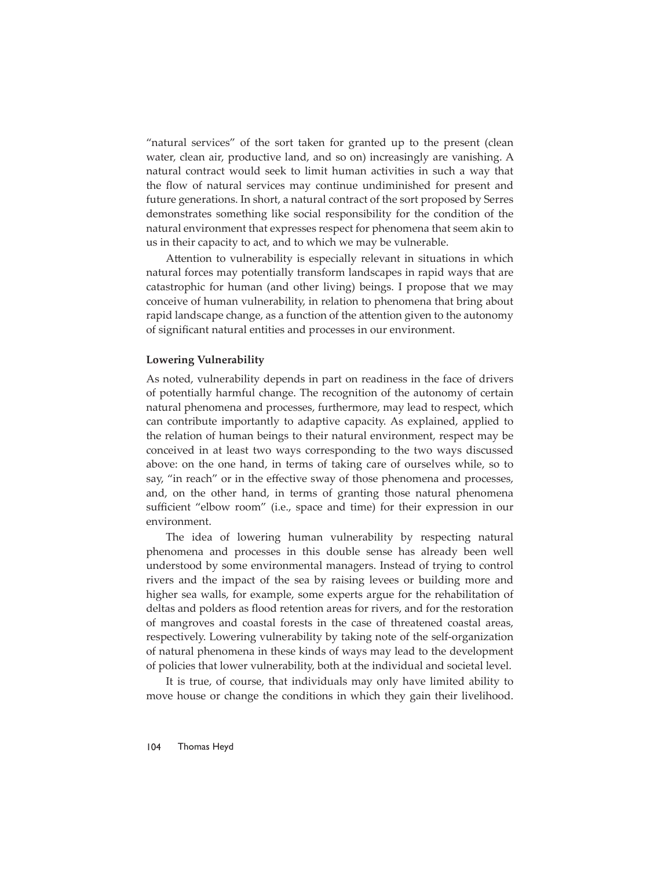"natural services" of the sort taken for granted up to the present (clean water, clean air, productive land, and so on) increasingly are vanishing. A natural contract would seek to limit human activities in such a way that the flow of natural services may continue undiminished for present and future generations. In short, a natural contract of the sort proposed by Serres demonstrates something like social responsibility for the condition of the natural environment that expresses respect for phenomena that seem akin to us in their capacity to act, and to which we may be vulnerable.

Attention to vulnerability is especially relevant in situations in which natural forces may potentially transform landscapes in rapid ways that are catastrophic for human (and other living) beings. I propose that we may conceive of human vulnerability, in relation to phenomena that bring about rapid landscape change, as a function of the attention given to the autonomy of significant natural entities and processes in our environment.

## **Lowering Vulnerability**

As noted, vulnerability depends in part on readiness in the face of drivers of potentially harmful change. The recognition of the autonomy of certain natural phenomena and processes, furthermore, may lead to respect, which can contribute importantly to adaptive capacity. As explained, applied to the relation of human beings to their natural environment, respect may be conceived in at least two ways corresponding to the two ways discussed above: on the one hand, in terms of taking care of ourselves while, so to say, "in reach" or in the effective sway of those phenomena and processes, and, on the other hand, in terms of granting those natural phenomena sufficient "elbow room" (i.e., space and time) for their expression in our environment.

The idea of lowering human vulnerability by respecting natural phenomena and processes in this double sense has already been well understood by some environmental managers. Instead of trying to control rivers and the impact of the sea by raising levees or building more and higher sea walls, for example, some experts argue for the rehabilitation of deltas and polders as flood retention areas for rivers, and for the restoration of mangroves and coastal forests in the case of threatened coastal areas, respectively. Lowering vulnerability by taking note of the self-organization of natural phenomena in these kinds of ways may lead to the development of policies that lower vulnerability, both at the individual and societal level.

It is true, of course, that individuals may only have limited ability to move house or change the conditions in which they gain their livelihood.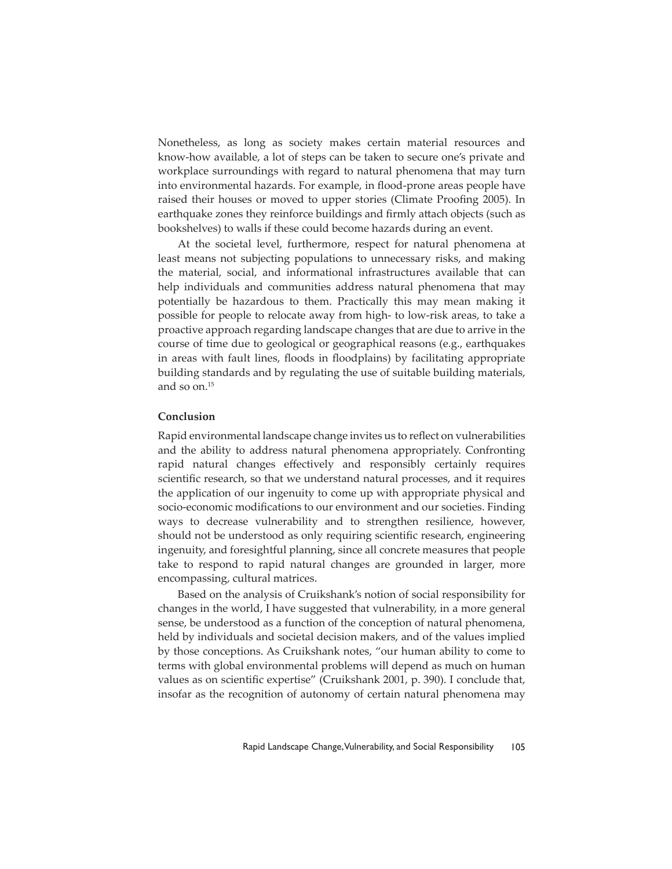Nonetheless, as long as society makes certain material resources and know-how available, a lot of steps can be taken to secure one's private and workplace surroundings with regard to natural phenomena that may turn into environmental hazards. For example, in flood-prone areas people have raised their houses or moved to upper stories (Climate Proofing 2005). In earthquake zones they reinforce buildings and firmly attach objects (such as bookshelves) to walls if these could become hazards during an event.

At the societal level, furthermore, respect for natural phenomena at least means not subjecting populations to unnecessary risks, and making the material, social, and informational infrastructures available that can help individuals and communities address natural phenomena that may potentially be hazardous to them. Practically this may mean making it possible for people to relocate away from high- to low-risk areas, to take a proactive approach regarding landscape changes that are due to arrive in the course of time due to geological or geographical reasons (e.g., earthquakes in areas with fault lines, floods in floodplains) by facilitating appropriate building standards and by regulating the use of suitable building materials, and so on.15

### **Conclusion**

Rapid environmental landscape change invites us to reflect on vulnerabilities and the ability to address natural phenomena appropriately. Confronting rapid natural changes effectively and responsibly certainly requires scientific research, so that we understand natural processes, and it requires the application of our ingenuity to come up with appropriate physical and socio-economic modifications to our environment and our societies. Finding ways to decrease vulnerability and to strengthen resilience, however, should not be understood as only requiring scientific research, engineering ingenuity, and foresightful planning, since all concrete measures that people take to respond to rapid natural changes are grounded in larger, more encompassing, cultural matrices.

Based on the analysis of Cruikshank's notion of social responsibility for changes in the world, I have suggested that vulnerability, in a more general sense, be understood as a function of the conception of natural phenomena, held by individuals and societal decision makers, and of the values implied by those conceptions. As Cruikshank notes, "our human ability to come to terms with global environmental problems will depend as much on human values as on scientific expertise" (Cruikshank 2001, p. 390). I conclude that, insofar as the recognition of autonomy of certain natural phenomena may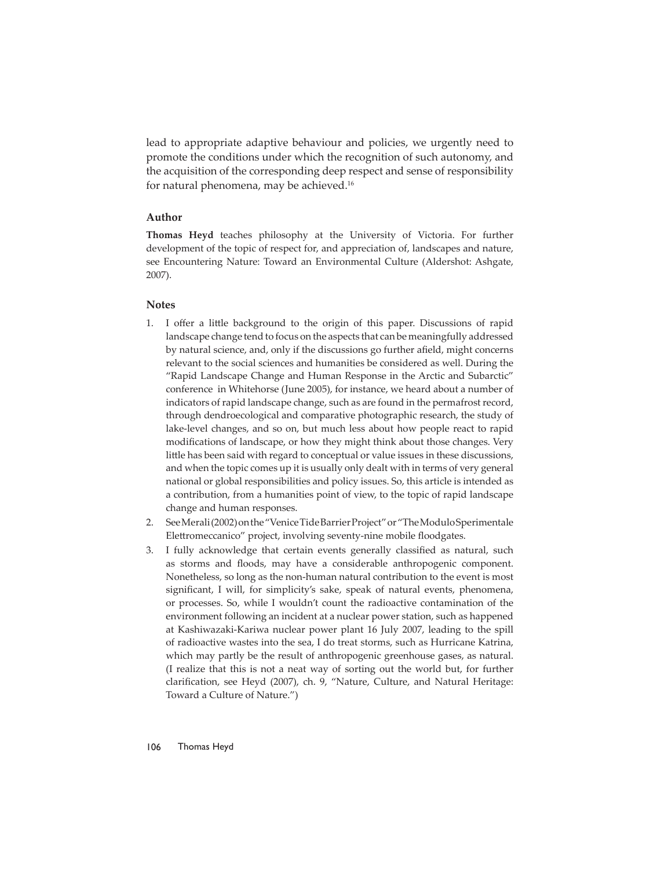lead to appropriate adaptive behaviour and policies, we urgently need to promote the conditions under which the recognition of such autonomy, and the acquisition of the corresponding deep respect and sense of responsibility for natural phenomena, may be achieved.16

# **Author**

**Thomas Heyd** teaches philosophy at the University of Victoria. For further development of the topic of respect for, and appreciation of, landscapes and nature, see Encountering Nature: Toward an Environmental Culture (Aldershot: Ashgate, 2007).

### **Notes**

- 1. I offer a little background to the origin of this paper. Discussions of rapid landscape change tend to focus on the aspects that can be meaningfully addressed by natural science, and, only if the discussions go further afield, might concerns relevant to the social sciences and humanities be considered as well. During the "Rapid Landscape Change and Human Response in the Arctic and Subarctic" conference in Whitehorse (June 2005), for instance, we heard about a number of indicators of rapid landscape change, such as are found in the permafrost record, through dendroecological and comparative photographic research, the study of lake-level changes, and so on, but much less about how people react to rapid modifications of landscape, or how they might think about those changes. Very little has been said with regard to conceptual or value issues in these discussions, and when the topic comes up it is usually only dealt with in terms of very general national or global responsibilities and policy issues. So, this article is intended as a contribution, from a humanities point of view, to the topic of rapid landscape change and human responses.
- 2. See Merali (2002) on the "Venice Tide Barrier Project" or "The Modulo Sperimentale Elettromeccanico" project, involving seventy-nine mobile floodgates.
- 3. I fully acknowledge that certain events generally classified as natural, such as storms and floods, may have a considerable anthropogenic component. Nonetheless, so long as the non-human natural contribution to the event is most significant, I will, for simplicity's sake, speak of natural events, phenomena, or processes. So, while I wouldn't count the radioactive contamination of the environment following an incident at a nuclear power station, such as happened at Kashiwazaki-Kariwa nuclear power plant 16 July 2007, leading to the spill of radioactive wastes into the sea, I do treat storms, such as Hurricane Katrina, which may partly be the result of anthropogenic greenhouse gases, as natural. (I realize that this is not a neat way of sorting out the world but, for further clarification, see Heyd (2007), ch. 9, "Nature, Culture, and Natural Heritage: Toward a Culture of Nature.")

### 106 Thomas Heyd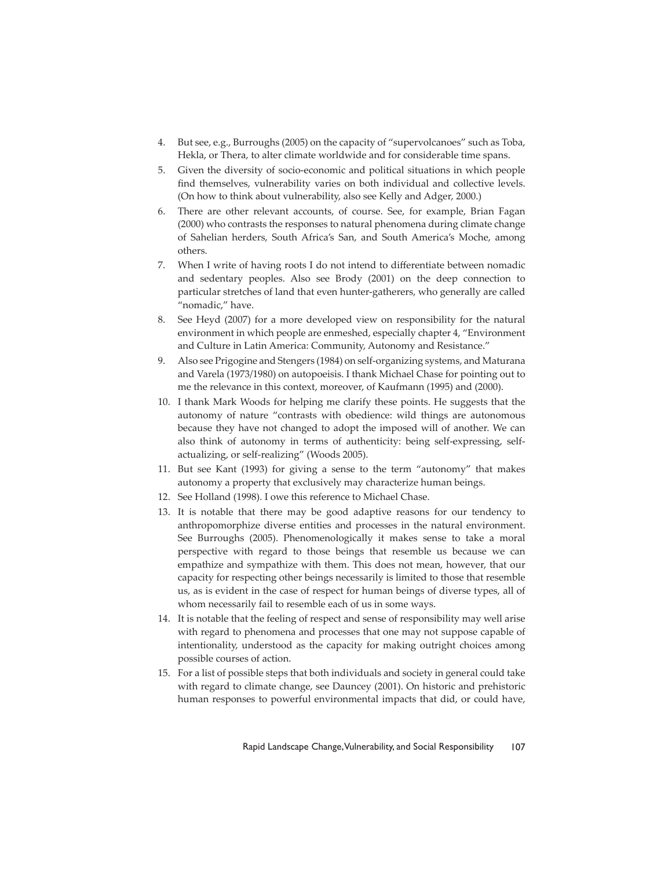- 4. But see, e.g., Burroughs (2005) on the capacity of "supervolcanoes" such as Toba, Hekla, or Thera, to alter climate worldwide and for considerable time spans.
- 5. Given the diversity of socio-economic and political situations in which people find themselves, vulnerability varies on both individual and collective levels. (On how to think about vulnerability, also see Kelly and Adger, 2000.)
- 6. There are other relevant accounts, of course. See, for example, Brian Fagan (2000) who contrasts the responses to natural phenomena during climate change of Sahelian herders, South Africa's San, and South America's Moche, among others.
- 7. When I write of having roots I do not intend to differentiate between nomadic and sedentary peoples. Also see Brody (2001) on the deep connection to particular stretches of land that even hunter-gatherers, who generally are called "nomadic," have.
- 8. See Heyd (2007) for a more developed view on responsibility for the natural environment in which people are enmeshed, especially chapter 4, "Environment and Culture in Latin America: Community, Autonomy and Resistance."
- 9. Also see Prigogine and Stengers (1984) on self-organizing systems, and Maturana and Varela (1973/1980) on autopoeisis. I thank Michael Chase for pointing out to me the relevance in this context, moreover, of Kaufmann (1995) and (2000).
- 10. I thank Mark Woods for helping me clarify these points. He suggests that the autonomy of nature "contrasts with obedience: wild things are autonomous because they have not changed to adopt the imposed will of another. We can also think of autonomy in terms of authenticity: being self-expressing, selfactualizing, or self-realizing" (Woods 2005).
- 11. But see Kant (1993) for giving a sense to the term "autonomy" that makes autonomy a property that exclusively may characterize human beings.
- 12. See Holland (1998). I owe this reference to Michael Chase.
- 13. It is notable that there may be good adaptive reasons for our tendency to anthropomorphize diverse entities and processes in the natural environment. See Burroughs (2005). Phenomenologically it makes sense to take a moral perspective with regard to those beings that resemble us because we can empathize and sympathize with them. This does not mean, however, that our capacity for respecting other beings necessarily is limited to those that resemble us, as is evident in the case of respect for human beings of diverse types, all of whom necessarily fail to resemble each of us in some ways.
- 14. It is notable that the feeling of respect and sense of responsibility may well arise with regard to phenomena and processes that one may not suppose capable of intentionality, understood as the capacity for making outright choices among possible courses of action.
- 15. For a list of possible steps that both individuals and society in general could take with regard to climate change, see Dauncey (2001). On historic and prehistoric human responses to powerful environmental impacts that did, or could have,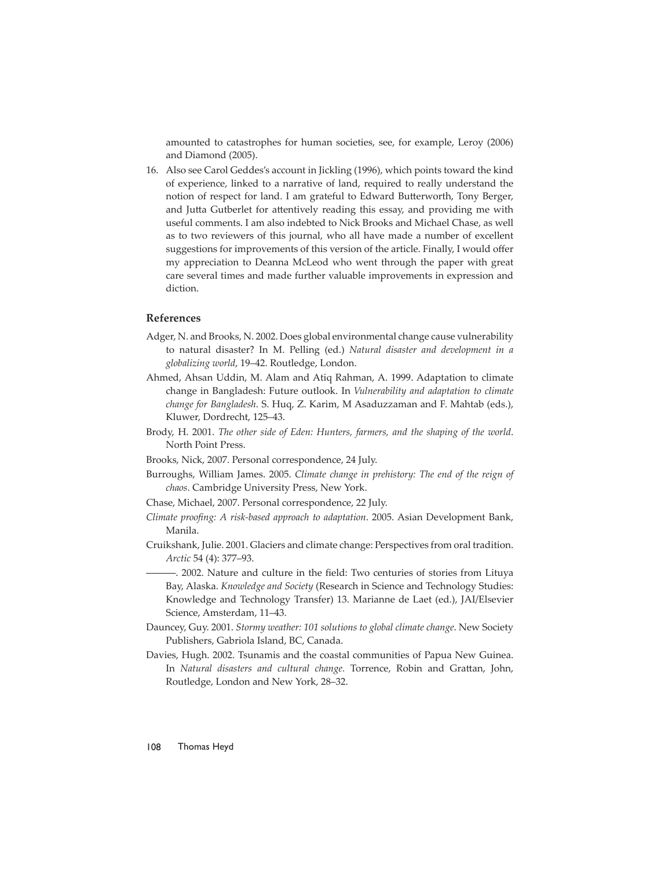amounted to catastrophes for human societies, see, for example, Leroy (2006) and Diamond (2005).

16. Also see Carol Geddes's account in Jickling (1996), which points toward the kind of experience, linked to a narrative of land, required to really understand the notion of respect for land. I am grateful to Edward Butterworth, Tony Berger, and Jutta Gutberlet for attentively reading this essay, and providing me with useful comments. I am also indebted to Nick Brooks and Michael Chase, as well as to two reviewers of this journal, who all have made a number of excellent suggestions for improvements of this version of the article. Finally, I would offer my appreciation to Deanna McLeod who went through the paper with great care several times and made further valuable improvements in expression and diction.

#### **References**

- Adger, N. and Brooks, N. 2002. Does global environmental change cause vulnerability to natural disaster? In M. Pelling (ed.) *Natural disaster and development in a globalizing world*, 19–42. Routledge, London.
- Ahmed, Ahsan Uddin, M. Alam and Atiq Rahman, A. 1999. Adaptation to climate change in Bangladesh: Future outlook. In *Vulnerability and adaptation to climate change for Bangladesh*. S. Huq, Z. Karim, M Asaduzzaman and F. Mahtab (eds.), Kluwer, Dordrecht, 125–43.
- Brody, H. 2001. *The other side of Eden: Hunters, farmers, and the shaping of the world*. North Point Press.
- Brooks, Nick, 2007. Personal correspondence, 24 July.
- Burroughs, William James. 2005. *Climate change in prehistory: The end of the reign of chaos*. Cambridge University Press, New York.
- Chase, Michael, 2007. Personal correspondence, 22 July.
- *Climate proofing: A risk-based approach to adaptation.* 2005. Asian Development Bank, Manila.
- Cruikshank, Julie. 2001. Glaciers and climate change: Perspectives from oral tradition. *Arctic* 54 (4): 377–93.

- 2002. Nature and culture in the field: Two centuries of stories from Lituya Bay, Alaska. *Knowledge and Society* (Research in Science and Technology Studies: Knowledge and Technology Transfer) 13. Marianne de Laet (ed.), JAI/Elsevier Science, Amsterdam, 11–43.

- Dauncey, Guy. 2001. *Stormy weather: 101 solutions to global climate change*. New Society Publishers, Gabriola Island, BC, Canada.
- Davies, Hugh. 2002. Tsunamis and the coastal communities of Papua New Guinea. In *Natural disasters and cultural change*. Torrence, Robin and Grattan, John, Routledge, London and New York, 28–32.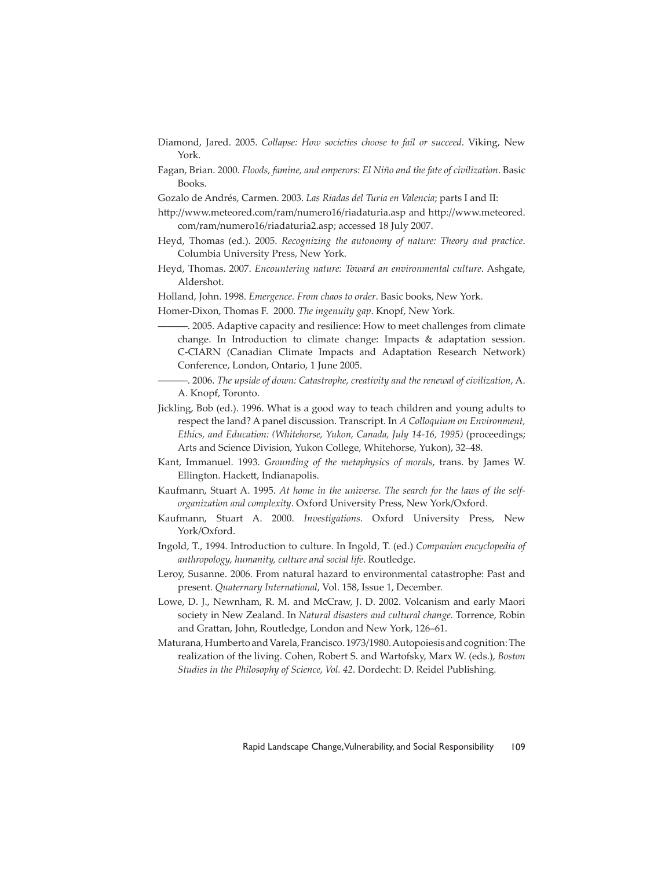- Diamond, Jared. 2005. *Collapse: How societies choose to fail or succeed*. Viking, New York.
- Fagan, Brian. 2000. *Floods, famine, and emperors: El Niño and the fate of civilization*. Basic Books.
- Gozalo de Andrés, Carmen. 2003. *Las Riadas del Turia en Valencia*; parts I and II:
- http://www.meteored.com/ram/numero16/riadaturia.asp and http://www.meteored. com/ram/numero16/riadaturia2.asp; accessed 18 July 2007.
- Heyd, Thomas (ed.). 2005. *Recognizing the autonomy of nature: Theory and practice*. Columbia University Press, New York.
- Heyd, Thomas. 2007. *Encountering nature: Toward an environmental culture*. Ashgate, Aldershot.
- Holland, John. 1998. *Emergence. From chaos to order*. Basic books, New York.
- Homer-Dixon, Thomas F. 2000. *The ingenuity gap*. Knopf, New York.
- ———. 2005. Adaptive capacity and resilience: How to meet challenges from climate change. In Introduction to climate change: Impacts & adaptation session. C-CIARN (Canadian Climate Impacts and Adaptation Research Network) Conference, London, Ontario, 1 June 2005.
- ———. 2006. *The upside of down: Catastrophe, creativity and the renewal of civilization*, A. A. Knopf, Toronto.
- Jickling, Bob (ed.). 1996. What is a good way to teach children and young adults to respect the land? A panel discussion. Transcript. In *A Colloquium on Environment, Ethics, and Education: (Whitehorse, Yukon, Canada, July 14-16, 1995)* (proceedings; Arts and Science Division, Yukon College, Whitehorse, Yukon), 32–48.
- Kant, Immanuel. 1993. *Grounding of the metaphysics of morals*, trans. by James W. Ellington. Hackett, Indianapolis.
- Kaufmann, Stuart A. 1995. *At home in the universe. The search for the laws of the selforganization and complexity*. Oxford University Press, New York/Oxford.
- Kaufmann, Stuart A. 2000. *Investigations*. Oxford University Press, New York/Oxford.
- Ingold, T., 1994. Introduction to culture. In Ingold, T. (ed.) *Companion encyclopedia of anthropology, humanity, culture and social life*. Routledge.
- Leroy, Susanne. 2006. From natural hazard to environmental catastrophe: Past and present. *Quaternary International*, Vol. 158, Issue 1, December.
- Lowe, D. J., Newnham, R. M. and McCraw, J. D. 2002. Volcanism and early Maori society in New Zealand. In *Natural disasters and cultural change.* Torrence, Robin and Grattan, John, Routledge, London and New York, 126-61.
- Maturana, Humberto and Varela, Francisco. 1973/1980. Autopoiesis and cognition: The realization of the living. Cohen, Robert S. and Wartofsky, Marx W. (eds.), *Boston Studies in the Philosophy of Science, Vol. 42*. Dordecht: D. Reidel Publishing.